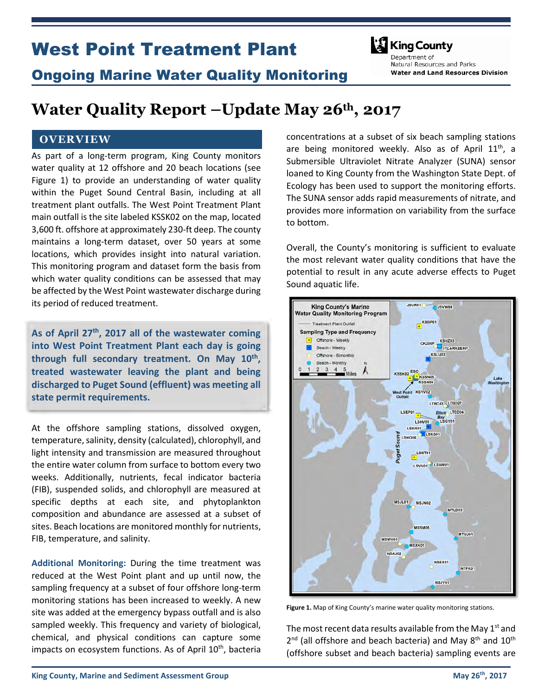# West Point Treatment Plant



## Ongoing Marine Water Quality Monitoring

Denartment of Natural Resources and Parks **Water and Land Resources Division** 

# Water Quality Report –Update May  $26<sup>th</sup>$ , 2017

### **OVERVIEW**

As part of a long-term program, King County monitors water quality at 12 offshore and 20 beach locations (see Figure 1) to provide an understanding of water quality within the Puget Sound Central Basin, including at all treatment plant outfalls. The West Point Treatment Plant main outfall is the site labeled KSSK02 on the map, located 3,600 ft. offshore at approximately 230-ft deep. The county maintains a long-term dataset, over 50 years at some locations, which provides insight into natural variation. This monitoring program and dataset form the basis from which water quality conditions can be assessed that may be affected by the West Point wastewater discharge during its period of reduced treatment.

As of April 27<sup>th</sup>, 2017 all of the wastewater coming into West Point Treatment Plant each day is going through full secondary treatment. On May 10<sup>th</sup>, treated wastewater leaving the plant and being discharged to Puget Sound (effluent) was meeting all state permit requirements.

At the offshore sampling stations, dissolved oxygen, temperature, salinity, density (calculated), chlorophyll, and light intensity and transmission are measured throughout the entire water column from surface to bottom every two weeks. Additionally, nutrients, fecal indicator bacteria (FIB), suspended solids, and chlorophyll are measured at specific depths at each site, and phytoplankton composition and abundance are assessed at a subset of sites. Beach locations are monitored monthly for nutrients, FIB, temperature, and salinity.

Additional Monitoring: During the time treatment was reduced at the West Point plant and up until now, the sampling frequency at a subset of four offshore long-term monitoring stations has been increased to weekly. A new site was added at the emergency bypass outfall and is also sampled weekly. This frequency and variety of biological, chemical, and physical conditions can capture some impacts on ecosystem functions. As of April 10<sup>th</sup>, bacteria

concentrations at a subset of six beach sampling stations are being monitored weekly. Also as of April  $11<sup>th</sup>$ , a Submersible Ultraviolet Nitrate Analyzer (SUNA) sensor loaned to King County from the Washington State Dept. of Ecology has been used to support the monitoring efforts. The SUNA sensor adds rapid measurements of nitrate, and provides more information on variability from the surface to bottom.

Overall, the County's monitoring is sufficient to evaluate the most relevant water quality conditions that have the potential to result in any acute adverse effects to Puget Sound aquatic life.



Figure 1. Map of King County's marine water quality monitoring stations.

The most recent data results available from the May  $1<sup>st</sup>$  and 2<sup>nd</sup> (all offshore and beach bacteria) and May 8<sup>th</sup> and 10<sup>th</sup> (offshore subset and beach bacteria) sampling events are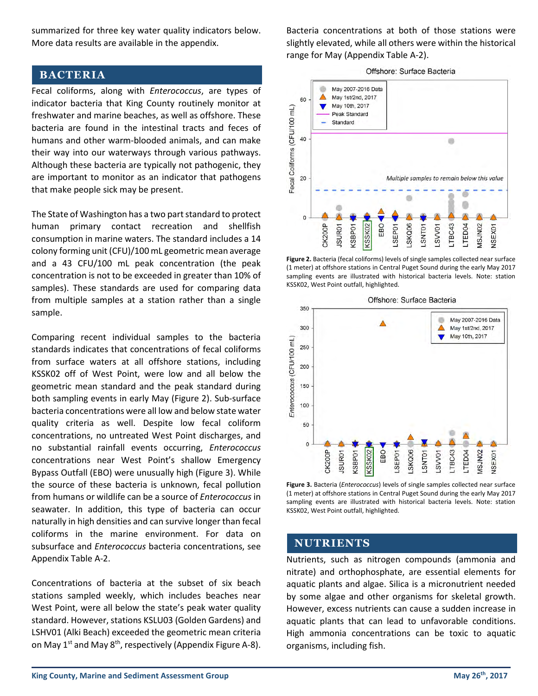summarized for three key water quality indicators below. More data results are available in the appendix.

### BACTERIA

Fecal coliforms, along with Enterococcus, are types of indicator bacteria that King County routinely monitor at freshwater and marine beaches, as well as offshore. These bacteria are found in the intestinal tracts and feces of humans and other warm-blooded animals, and can make their way into our waterways through various pathways. Although these bacteria are typically not pathogenic, they are important to monitor as an indicator that pathogens that make people sick may be present.

The State of Washington has a two part standard to protect human primary contact recreation and shellfish consumption in marine waters. The standard includes a 14 colony forming unit (CFU)/100 mL geometric mean average and a 43 CFU/100 mL peak concentration (the peak concentration is not to be exceeded in greater than 10% of samples). These standards are used for comparing data from multiple samples at a station rather than a single sample.

Comparing recent individual samples to the bacteria standards indicates that concentrations of fecal coliforms from surface waters at all offshore stations, including KSSK02 off of West Point, were low and all below the geometric mean standard and the peak standard during both sampling events in early May (Figure 2). Sub-surface bacteria concentrations were all low and below state water quality criteria as well. Despite low fecal coliform concentrations, no untreated West Point discharges, and no substantial rainfall events occurring, Enterococcus concentrations near West Point's shallow Emergency Bypass Outfall (EBO) were unusually high (Figure 3). While the source of these bacteria is unknown, fecal pollution from humans or wildlife can be a source of Enterococcus in seawater. In addition, this type of bacteria can occur naturally in high densities and can survive longer than fecal coliforms in the marine environment. For data on subsurface and Enterococcus bacteria concentrations, see Appendix Table A-2.

Concentrations of bacteria at the subset of six beach stations sampled weekly, which includes beaches near West Point, were all below the state's peak water quality standard. However, stations KSLU03 (Golden Gardens) and LSHV01 (Alki Beach) exceeded the geometric mean criteria on May  $1^{st}$  and May  $8^{th}$ , respectively (Appendix Figure A-8).

Bacteria concentrations at both of those stations were slightly elevated, while all others were within the historical range for May (Appendix Table A-2).





Figure 2. Bacteria (fecal coliforms) levels of single samples collected near surface (1 meter) at offshore stations in Central Puget Sound during the early May 2017 sampling events are illustrated with historical bacteria levels. Note: station KSSK02, West Point outfall, highlighted.



Figure 3. Bacteria (*Enterococcus*) levels of single samples collected near surface (1 meter) at offshore stations in Central Puget Sound during the early May 2017 sampling events are illustrated with historical bacteria levels. Note: station KSSK02, West Point outfall, highlighted.

### NUTRIENTS

Nutrients, such as nitrogen compounds (ammonia and nitrate) and orthophosphate, are essential elements for aquatic plants and algae. Silica is a micronutrient needed by some algae and other organisms for skeletal growth. However, excess nutrients can cause a sudden increase in aquatic plants that can lead to unfavorable conditions. High ammonia concentrations can be toxic to aquatic organisms, including fish.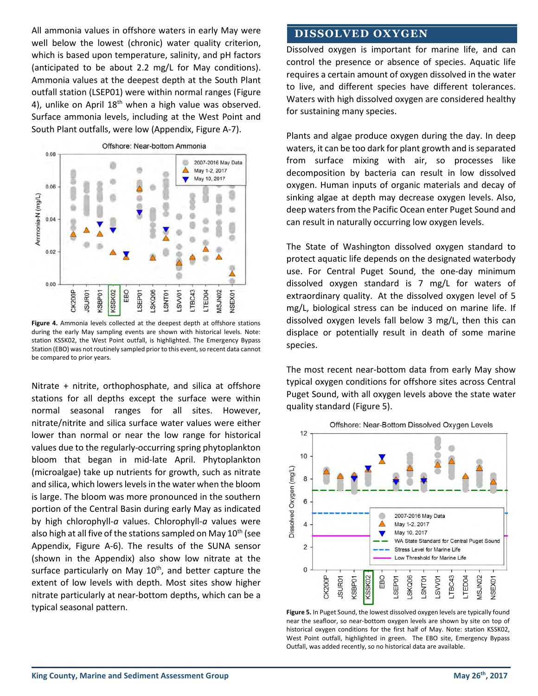All ammonia values in offshore waters in early May were well below the lowest (chronic) water quality criterion, which is based upon temperature, salinity, and pH factors (anticipated to be about 2.2 mg/L for May conditions). Ammonia values at the deepest depth at the South Plant outfall station (LSEP01) were within normal ranges (Figure 4), unlike on April  $18<sup>th</sup>$  when a high value was observed. Surface ammonia levels, including at the West Point and South Plant outfalls, were low (Appendix, Figure A-7).



Figure 4. Ammonia levels collected at the deepest depth at offshore stations during the early May sampling events are shown with historical levels. Note: station KSSK02, the West Point outfall, is highlighted. The Emergency Bypass Station (EBO) was not routinely sampled prior to this event, so recent data cannot be compared to prior years.

Nitrate + nitrite, orthophosphate, and silica at offshore stations for all depths except the surface were within normal seasonal ranges for all sites. However, nitrate/nitrite and silica surface water values were either lower than normal or near the low range for historical values due to the regularly-occurring spring phytoplankton bloom that began in mid-late April. Phytoplankton (microalgae) take up nutrients for growth, such as nitrate and silica, which lowers levels in the water when the bloom is large. The bloom was more pronounced in the southern portion of the Central Basin during early May as indicated by high chlorophyll-a values. Chlorophyll-a values were also high at all five of the stations sampled on May  $10<sup>th</sup>$  (see Appendix, Figure A-6). The results of the SUNA sensor (shown in the Appendix) also show low nitrate at the surface particularly on May  $10<sup>th</sup>$ , and better capture the extent of low levels with depth. Most sites show higher nitrate particularly at near-bottom depths, which can be a typical seasonal pattern.

### DISSOLVED OXYGEN

Dissolved oxygen is important for marine life, and can control the presence or absence of species. Aquatic life requires a certain amount of oxygen dissolved in the water to live, and different species have different tolerances. Waters with high dissolved oxygen are considered healthy for sustaining many species.

Plants and algae produce oxygen during the day. In deep waters, it can be too dark for plant growth and is separated from surface mixing with air, so processes like decomposition by bacteria can result in low dissolved oxygen. Human inputs of organic materials and decay of sinking algae at depth may decrease oxygen levels. Also, deep waters from the Pacific Ocean enter Puget Sound and can result in naturally occurring low oxygen levels.

The State of Washington dissolved oxygen standard to protect aquatic life depends on the designated waterbody use. For Central Puget Sound, the one-day minimum dissolved oxygen standard is 7 mg/L for waters of extraordinary quality. At the dissolved oxygen level of 5 mg/L, biological stress can be induced on marine life. If dissolved oxygen levels fall below 3 mg/L, then this can displace or potentially result in death of some marine species.

The most recent near-bottom data from early May show typical oxygen conditions for offshore sites across Central Puget Sound, with all oxygen levels above the state water quality standard (Figure 5).



Figure 5. In Puget Sound, the lowest dissolved oxygen levels are typically found near the seafloor, so near-bottom oxygen levels are shown by site on top of historical oxygen conditions for the first half of May. Note: station KSSK02, West Point outfall, highlighted in green. The EBO site, Emergency Bypass Outfall, was added recently, so no historical data are available.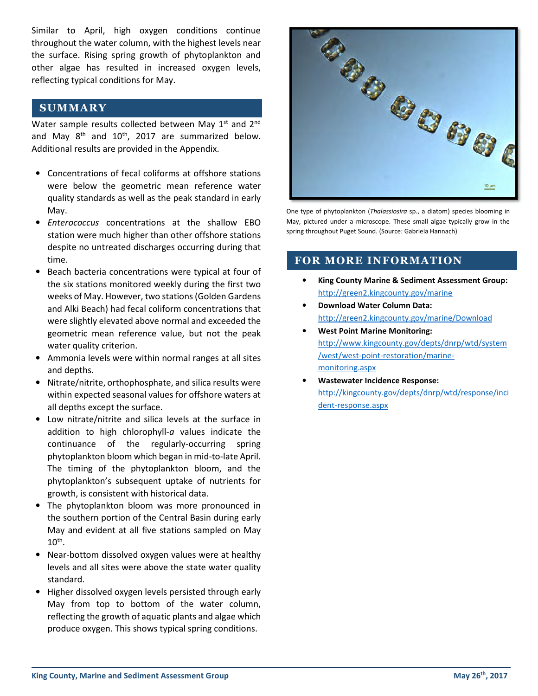Similar to April, high oxygen conditions continue throughout the water column, with the highest levels near the surface. Rising spring growth of phytoplankton and other algae has resulted in increased oxygen levels, reflecting typical conditions for May.

### **SUMMARY**

Water sample results collected between May 1<sup>st</sup> and 2<sup>nd</sup> and May  $8<sup>th</sup>$  and  $10<sup>th</sup>$ , 2017 are summarized below. Additional results are provided in the Appendix.

- Concentrations of fecal coliforms at offshore stations were below the geometric mean reference water quality standards as well as the peak standard in early May.
- Enterococcus concentrations at the shallow EBO station were much higher than other offshore stations despite no untreated discharges occurring during that time.
- Beach bacteria concentrations were typical at four of the six stations monitored weekly during the first two weeks of May. However, two stations (Golden Gardens and Alki Beach) had fecal coliform concentrations that were slightly elevated above normal and exceeded the geometric mean reference value, but not the peak water quality criterion.
- Ammonia levels were within normal ranges at all sites and depths.
- Nitrate/nitrite, orthophosphate, and silica results were within expected seasonal values for offshore waters at all depths except the surface.
- Low nitrate/nitrite and silica levels at the surface in addition to high chlorophyll-a values indicate the continuance of the regularly-occurring spring phytoplankton bloom which began in mid-to-late April. The timing of the phytoplankton bloom, and the phytoplankton's subsequent uptake of nutrients for growth, is consistent with historical data.
- The phytoplankton bloom was more pronounced in the southern portion of the Central Basin during early May and evident at all five stations sampled on May  $10^{\text{th}}$ .
- Near-bottom dissolved oxygen values were at healthy levels and all sites were above the state water quality standard.
- Higher dissolved oxygen levels persisted through early May from top to bottom of the water column, reflecting the growth of aquatic plants and algae which produce oxygen. This shows typical spring conditions.



One type of phytoplankton (Thalassiosira sp., a diatom) species blooming in May, pictured under a microscope. These small algae typically grow in the spring throughout Puget Sound. (Source: Gabriela Hannach)

### FOR MORE INFORMATION

- King County Marine & Sediment Assessment Group: http://green2.kingcounty.gov/marine
- Download Water Column Data: http://green2.kingcounty.gov/marine/Download
- West Point Marine Monitoring: http://www.kingcounty.gov/depts/dnrp/wtd/system /west/west-point-restoration/marinemonitoring.aspx
- Wastewater Incidence Response: http://kingcounty.gov/depts/dnrp/wtd/response/inci dent-response.aspx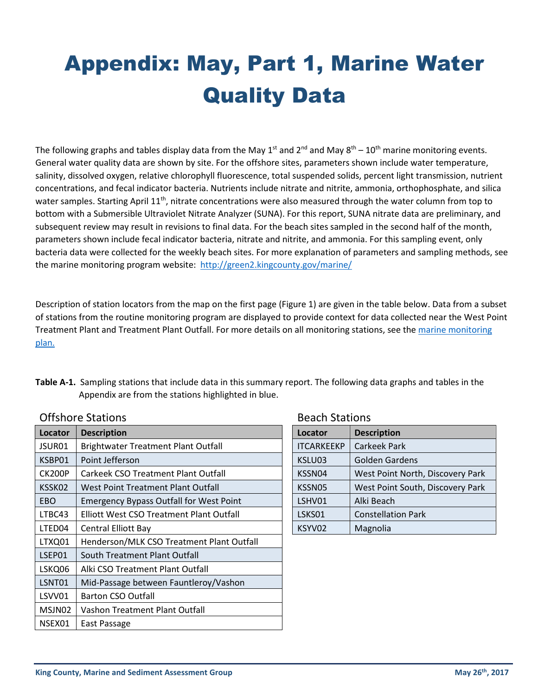# Appendix: May, Part 1, Marine Water Quality Data

The following graphs and tables display data from the May 1<sup>st</sup> and 2<sup>nd</sup> and May  $8^{th}$  – 10<sup>th</sup> marine monitoring events. General water quality data are shown by site. For the offshore sites, parameters shown include water temperature, salinity, dissolved oxygen, relative chlorophyll fluorescence, total suspended solids, percent light transmission, nutrient concentrations, and fecal indicator bacteria. Nutrients include nitrate and nitrite, ammonia, orthophosphate, and silica water samples. Starting April  $11<sup>th</sup>$ , nitrate concentrations were also measured through the water column from top to bottom with a Submersible Ultraviolet Nitrate Analyzer (SUNA). For this report, SUNA nitrate data are preliminary, and subsequent review may result in revisions to final data. For the beach sites sampled in the second half of the month, parameters shown include fecal indicator bacteria, nitrate and nitrite, and ammonia. For this sampling event, only bacteria data were collected for the weekly beach sites. For more explanation of parameters and sampling methods, see the marine monitoring program website: http://green2.kingcounty.gov/marine/

Description of station locators from the map on the first page (Figure 1) are given in the table below. Data from a subset of stations from the routine monitoring program are displayed to provide context for data collected near the West Point Treatment Plant and Treatment Plant Outfall. For more details on all monitoring stations, see the marine monitoring plan.

Table A-1. Sampling stations that include data in this summary report. The following data graphs and tables in the Appendix are from the stations highlighted in blue.

| Locator       | <b>Description</b>                             |  | Locator           | <b>Description</b>               |  |
|---------------|------------------------------------------------|--|-------------------|----------------------------------|--|
| JSUR01        | <b>Brightwater Treatment Plant Outfall</b>     |  | <b>ITCARKEEKP</b> | Carkeek Park                     |  |
| KSBP01        | Point Jefferson                                |  | KSLU03            | Golden Gardens                   |  |
| <b>CK200P</b> | <b>Carkeek CSO Treatment Plant Outfall</b>     |  | KSSN04            | West Point North, Discovery Park |  |
| KSSK02        | West Point Treatment Plant Outfall             |  | KSSN05            | West Point South, Discovery Park |  |
| <b>EBO</b>    | <b>Emergency Bypass Outfall for West Point</b> |  | LSHV01            | Alki Beach                       |  |
| LTBC43        | Elliott West CSO Treatment Plant Outfall       |  | LSKS01            | <b>Constellation Park</b>        |  |
| LTED04        | <b>Central Elliott Bay</b>                     |  | KSYV02            | Magnolia                         |  |
| LTXQ01        | Henderson/MLK CSO Treatment Plant Outfall      |  |                   |                                  |  |
| LSEP01        | South Treatment Plant Outfall                  |  |                   |                                  |  |
| LSKQ06        | Alki CSO Treatment Plant Outfall               |  |                   |                                  |  |
| LSNT01        | Mid-Passage between Fauntleroy/Vashon          |  |                   |                                  |  |
| LSVV01        | <b>Barton CSO Outfall</b>                      |  |                   |                                  |  |
| MSJN02        | Vashon Treatment Plant Outfall                 |  |                   |                                  |  |
| NSEX01        | East Passage                                   |  |                   |                                  |  |

### Offshore Stations

| <b>Beach Stations</b> |
|-----------------------|
|                       |

| Locator           | <b>Description</b>               |  |  |  |  |
|-------------------|----------------------------------|--|--|--|--|
| <b>ITCARKEEKP</b> | <b>Carkeek Park</b>              |  |  |  |  |
| KSLU03            | Golden Gardens                   |  |  |  |  |
| KSSN04            | West Point North, Discovery Park |  |  |  |  |
| KSSN05            | West Point South, Discovery Park |  |  |  |  |
| LSHV01            | Alki Beach                       |  |  |  |  |
| LSKS01            | <b>Constellation Park</b>        |  |  |  |  |
| KSYV02            | Magnolia                         |  |  |  |  |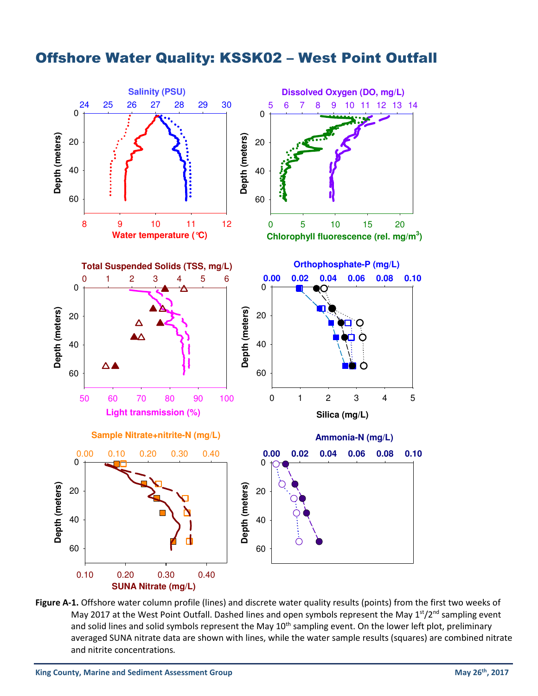## Offshore Water Quality: KSSK02 – West Point Outfall



Figure A-1. Offshore water column profile (lines) and discrete water quality results (points) from the first two weeks of May 2017 at the West Point Outfall. Dashed lines and open symbols represent the May 1<sup>st</sup>/2<sup>nd</sup> sampling event and solid lines and solid symbols represent the May 10<sup>th</sup> sampling event. On the lower left plot, preliminary averaged SUNA nitrate data are shown with lines, while the water sample results (squares) are combined nitrate and nitrite concentrations.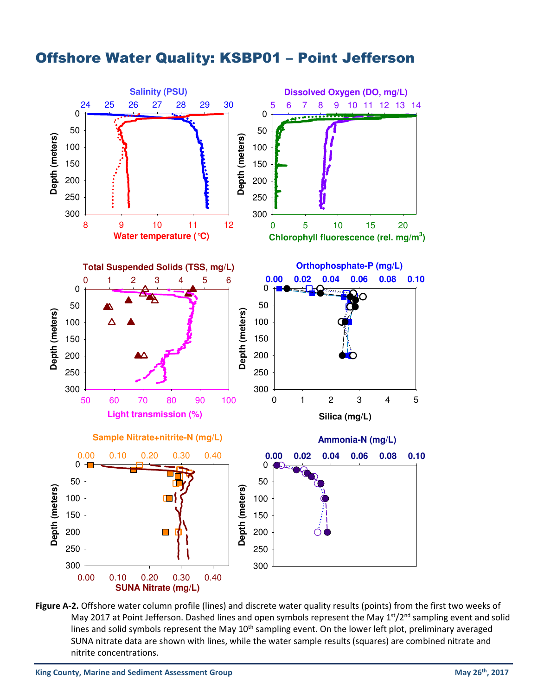

## Offshore Water Quality: KSBP01 – Point Jefferson

Figure A-2. Offshore water column profile (lines) and discrete water quality results (points) from the first two weeks of May 2017 at Point Jefferson. Dashed lines and open symbols represent the May 1<sup>st</sup>/2<sup>nd</sup> sampling event and solid lines and solid symbols represent the May 10<sup>th</sup> sampling event. On the lower left plot, preliminary averaged SUNA nitrate data are shown with lines, while the water sample results (squares) are combined nitrate and nitrite concentrations.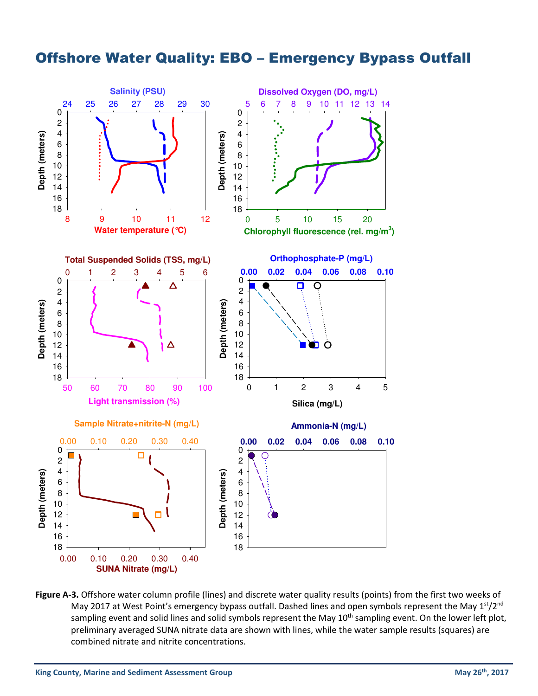## Offshore Water Quality: EBO – Emergency Bypass Outfall



Figure A-3. Offshore water column profile (lines) and discrete water quality results (points) from the first two weeks of May 2017 at West Point's emergency bypass outfall. Dashed lines and open symbols represent the May  $1^{st}/2^{nd}$ sampling event and solid lines and solid symbols represent the May 10<sup>th</sup> sampling event. On the lower left plot, preliminary averaged SUNA nitrate data are shown with lines, while the water sample results (squares) are combined nitrate and nitrite concentrations.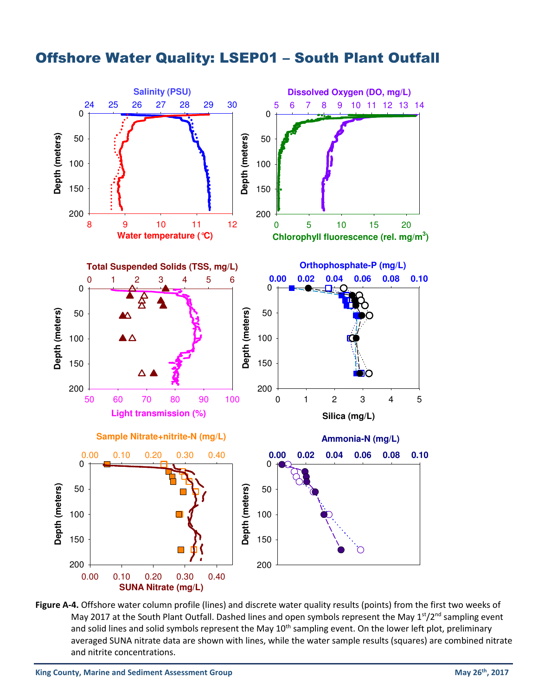



Figure A-4. Offshore water column profile (lines) and discrete water quality results (points) from the first two weeks of May 2017 at the South Plant Outfall. Dashed lines and open symbols represent the May  $1<sup>st</sup>/2<sup>nd</sup>$  sampling event and solid lines and solid symbols represent the May 10<sup>th</sup> sampling event. On the lower left plot, preliminary averaged SUNA nitrate data are shown with lines, while the water sample results (squares) are combined nitrate and nitrite concentrations.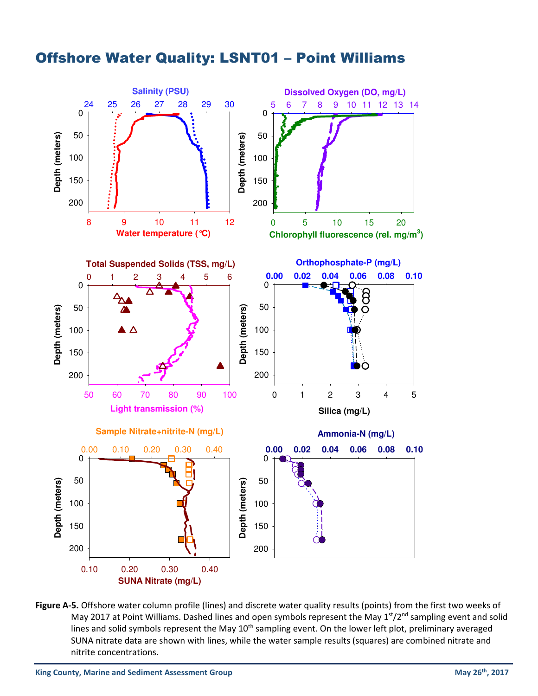

## Offshore Water Quality: LSNT01 – Point Williams

Figure A-5. Offshore water column profile (lines) and discrete water quality results (points) from the first two weeks of May 2017 at Point Williams. Dashed lines and open symbols represent the May  $1<sup>st</sup>/2<sup>nd</sup>$  sampling event and solid lines and solid symbols represent the May 10<sup>th</sup> sampling event. On the lower left plot, preliminary averaged SUNA nitrate data are shown with lines, while the water sample results (squares) are combined nitrate and nitrite concentrations.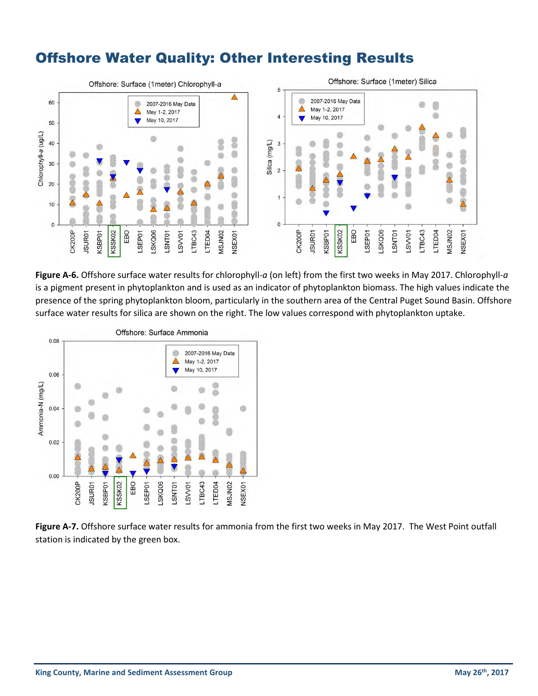## Offshore Water Quality: Other Interesting Results



Figure A-6. Offshore surface water results for chlorophyll-a (on left) from the first two weeks in May 2017. Chlorophyll-a is a pigment present in phytoplankton and is used as an indicator of phytoplankton biomass. The high values indicate the presence of the spring phytoplankton bloom, particularly in the southern area of the Central Puget Sound Basin. Offshore surface water results for silica are shown on the right. The low values correspond with phytoplankton uptake.



Figure A-7. Offshore surface water results for ammonia from the first two weeks in May 2017. The West Point outfall station is indicated by the green box.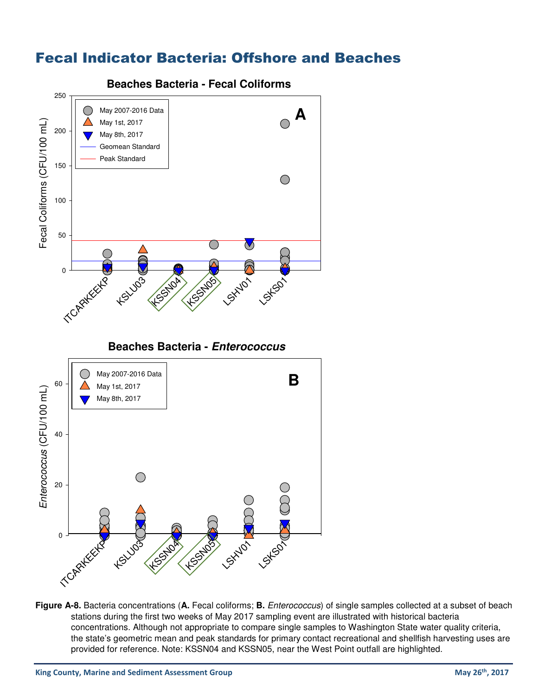## Fecal Indicator Bacteria: Offshore and Beaches



**Figure A-8.** Bacteria concentrations (**A.** Fecal coliforms; **B.** Enterococcus) of single samples collected at a subset of beach stations during the first two weeks of May 2017 sampling event are illustrated with historical bacteria concentrations. Although not appropriate to compare single samples to Washington State water quality criteria, the state's geometric mean and peak standards for primary contact recreational and shellfish harvesting uses are provided for reference. Note: KSSN04 and KSSN05, near the West Point outfall are highlighted.